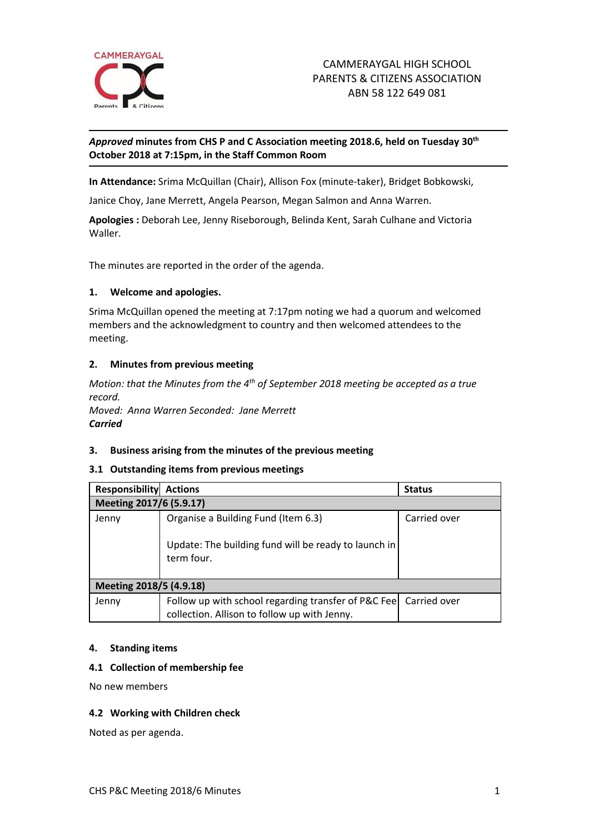

## *Approved* **minutes from CHS P and C Association meeting 2018.6, held on Tuesday 30th October 2018 at 7:15pm, in the Staff Common Room**

**In Attendance:** Srima McQuillan (Chair), Allison Fox (minute-taker), Bridget Bobkowski,

Janice Choy, Jane Merrett, Angela Pearson, Megan Salmon and Anna Warren.

**Apologies :** Deborah Lee, Jenny Riseborough, Belinda Kent, Sarah Culhane and Victoria Waller.

The minutes are reported in the order of the agenda.

#### **1. Welcome and apologies.**

Srima McQuillan opened the meeting at 7:17pm noting we had a quorum and welcomed members and the acknowledgment to country and then welcomed attendees to the meeting.

#### **2. Minutes from previous meeting**

*Motion: that the Minutes from the 4 th of September 2018 meeting be accepted as a true record.* 

*Moved: Anna Warren Seconded: Jane Merrett Carried*

#### **3. Business arising from the minutes of the previous meeting**

#### **3.1 Outstanding items from previous meetings**

| <b>Responsibility</b>   | <b>Actions</b>                                                                                                     | <b>Status</b> |
|-------------------------|--------------------------------------------------------------------------------------------------------------------|---------------|
| Meeting 2017/6 (5.9.17) |                                                                                                                    |               |
| Jenny                   | Organise a Building Fund (Item 6.3)                                                                                | Carried over  |
|                         | Update: The building fund will be ready to launch in<br>term four.                                                 |               |
| Meeting 2018/5 (4.9.18) |                                                                                                                    |               |
| Jenny                   | Follow up with school regarding transfer of P&C Fee   Carried over<br>collection. Allison to follow up with Jenny. |               |

#### **4. Standing items**

#### **4.1 Collection of membership fee**

No new members

#### **4.2 Working with Children check**

Noted as per agenda.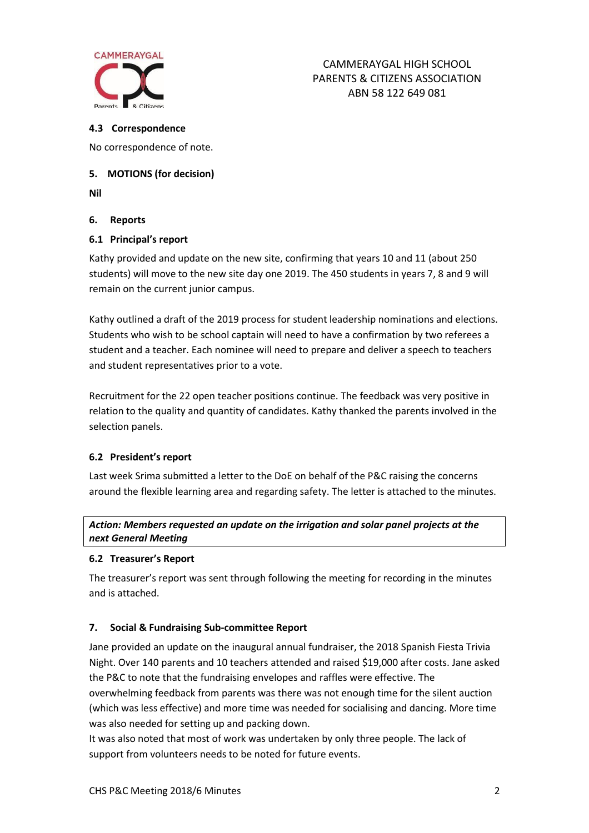

#### **4.3 Correspondence**

No correspondence of note.

## **5. MOTIONS (for decision)**

**Nil**

## **6. Reports**

## **6.1 Principal's report**

Kathy provided and update on the new site, confirming that years 10 and 11 (about 250 students) will move to the new site day one 2019. The 450 students in years 7, 8 and 9 will remain on the current junior campus.

Kathy outlined a draft of the 2019 process for student leadership nominations and elections. Students who wish to be school captain will need to have a confirmation by two referees a student and a teacher. Each nominee will need to prepare and deliver a speech to teachers and student representatives prior to a vote.

Recruitment for the 22 open teacher positions continue. The feedback was very positive in relation to the quality and quantity of candidates. Kathy thanked the parents involved in the selection panels.

# **6.2 President's report**

Last week Srima submitted a letter to the DoE on behalf of the P&C raising the concerns around the flexible learning area and regarding safety. The letter is attached to the minutes.

# *Action: Members requested an update on the irrigation and solar panel projects at the next General Meeting*

## **6.2 Treasurer's Report**

The treasurer's report was sent through following the meeting for recording in the minutes and is attached.

## **7. Social & Fundraising Sub-committee Report**

Jane provided an update on the inaugural annual fundraiser, the 2018 Spanish Fiesta Trivia Night. Over 140 parents and 10 teachers attended and raised \$19,000 after costs. Jane asked the P&C to note that the fundraising envelopes and raffles were effective. The overwhelming feedback from parents was there was not enough time for the silent auction (which was less effective) and more time was needed for socialising and dancing. More time was also needed for setting up and packing down.

It was also noted that most of work was undertaken by only three people. The lack of support from volunteers needs to be noted for future events.